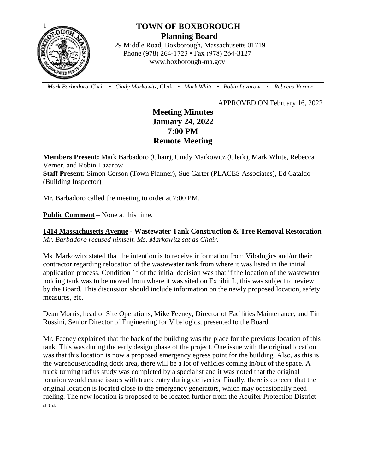

# **TOWN OF BOXBOROUGH Planning Board**

 29 Middle Road, Boxborough, Massachusetts 01719 Phone (978) 264-1723 • Fax (978) 264-3127 www.boxborough-ma.gov

 *Mark Barbadoro*, Chair • *Cindy Markowitz,* Clerk • *Mark White* • *Robin Lazarow* • *Rebecca Verner*

APPROVED ON February 16, 2022

# **Meeting Minutes January 24, 2022 7:00 PM Remote Meeting**

**Members Present:** Mark Barbadoro (Chair), Cindy Markowitz (Clerk), Mark White, Rebecca Verner, and Robin Lazarow **Staff Present:** Simon Corson (Town Planner), Sue Carter (PLACES Associates), Ed Cataldo

(Building Inspector)

Mr. Barbadoro called the meeting to order at 7:00 PM.

**Public Comment** – None at this time.

**1414 Massachusetts Avenue** - **Wastewater Tank Construction & Tree Removal Restoration** *Mr. Barbadoro recused himself. Ms. Markowitz sat as Chair.*

Ms. Markowitz stated that the intention is to receive information from Vibalogics and/or their contractor regarding relocation of the wastewater tank from where it was listed in the initial application process. Condition 1f of the initial decision was that if the location of the wastewater holding tank was to be moved from where it was sited on Exhibit L, this was subject to review by the Board. This discussion should include information on the newly proposed location, safety measures, etc.

Dean Morris, head of Site Operations, Mike Feeney, Director of Facilities Maintenance, and Tim Rossini, Senior Director of Engineering for Vibalogics, presented to the Board.

Mr. Feeney explained that the back of the building was the place for the previous location of this tank. This was during the early design phase of the project. One issue with the original location was that this location is now a proposed emergency egress point for the building. Also, as this is the warehouse/loading dock area, there will be a lot of vehicles coming in/out of the space. A truck turning radius study was completed by a specialist and it was noted that the original location would cause issues with truck entry during deliveries. Finally, there is concern that the original location is located close to the emergency generators, which may occasionally need fueling. The new location is proposed to be located further from the Aquifer Protection District area.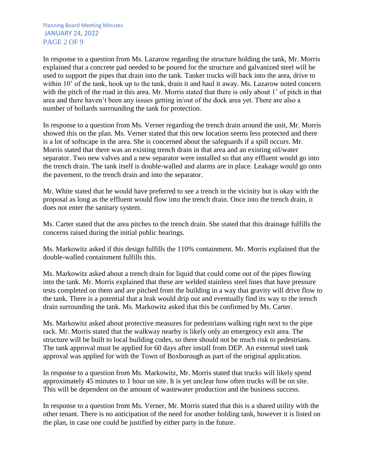Planning Board Meeting Minutes JANUARY 24, 2022 PAGE 2 OF 9

In response to a question from Ms. Lazarow regarding the structure holding the tank, Mr. Morris explained that a concrete pad needed to be poured for the structure and galvanized steel will be used to support the pipes that drain into the tank. Tanker trucks will back into the area, drive to within 10' of the tank, hook up to the tank, drain it and haul it away. Ms. Lazarow noted concern with the pitch of the road in this area. Mr. Morris stated that there is only about 1' of pitch in that area and there haven't been any issues getting in/out of the dock area yet. There are also a number of bollards surrounding the tank for protection.

In response to a question from Ms. Verner regarding the trench drain around the unit, Mr. Morris showed this on the plan. Ms. Verner stated that this new location seems less protected and there is a lot of softscape in the area. She is concerned about the safeguards if a spill occurs. Mr. Morris stated that there was an existing trench drain in that area and an existing oil/water separator. Two new valves and a new separator were installed so that any effluent would go into the trench drain. The tank itself is double-walled and alarms are in place. Leakage would go onto the pavement, to the trench drain and into the separator.

Mr. White stated that he would have preferred to see a trench in the vicinity but is okay with the proposal as long as the effluent would flow into the trench drain. Once into the trench drain, it does not enter the sanitary system.

Ms. Carter stated that the area pitches to the trench drain. She stated that this drainage fulfills the concerns raised during the initial public hearings.

Ms. Markowitz asked if this design fulfills the 110% containment. Mr. Morris explained that the double-walled containment fulfills this.

Ms. Markowitz asked about a trench drain for liquid that could come out of the pipes flowing into the tank. Mr. Morris explained that these are welded stainless steel lines that have pressure tests completed on them and are pitched from the building in a way that gravity will drive flow to the tank. There is a potential that a leak would drip out and eventually find its way to the trench drain surrounding the tank. Ms. Markowitz asked that this be confirmed by Ms. Carter.

Ms. Markowitz asked about protective measures for pedestrians walking right next to the pipe rack. Mr. Morris stated that the walkway nearby is likely only an emergency exit area. The structure will be built to local building codes, so there should not be much risk to pedestrians. The tank approval must be applied for 60 days after install from DEP. An external steel tank approval was applied for with the Town of Boxborough as part of the original application.

In response to a question from Ms. Markowitz, Mr. Morris stated that trucks will likely spend approximately 45 minutes to 1 hour on site. It is yet unclear how often trucks will be on site. This will be dependent on the amount of wastewater production and the business success.

In response to a question from Ms. Verner, Mr. Morris stated that this is a shared utility with the other tenant. There is no anticipation of the need for another holding tank, however it is listed on the plan, in case one could be justified by either party in the future.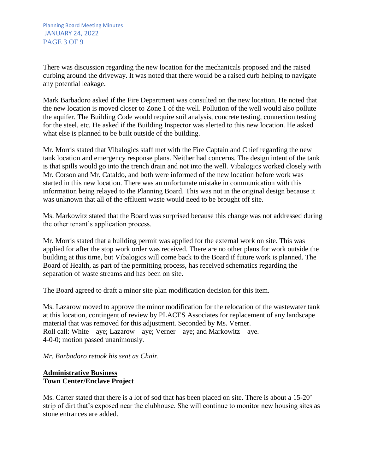Planning Board Meeting Minutes JANUARY 24, 2022 PAGE 3 OF 9

There was discussion regarding the new location for the mechanicals proposed and the raised curbing around the driveway. It was noted that there would be a raised curb helping to navigate any potential leakage.

Mark Barbadoro asked if the Fire Department was consulted on the new location. He noted that the new location is moved closer to Zone 1 of the well. Pollution of the well would also pollute the aquifer. The Building Code would require soil analysis, concrete testing, connection testing for the steel, etc. He asked if the Building Inspector was alerted to this new location. He asked what else is planned to be built outside of the building.

Mr. Morris stated that Vibalogics staff met with the Fire Captain and Chief regarding the new tank location and emergency response plans. Neither had concerns. The design intent of the tank is that spills would go into the trench drain and not into the well. Vibalogics worked closely with Mr. Corson and Mr. Cataldo, and both were informed of the new location before work was started in this new location. There was an unfortunate mistake in communication with this information being relayed to the Planning Board. This was not in the original design because it was unknown that all of the effluent waste would need to be brought off site.

Ms. Markowitz stated that the Board was surprised because this change was not addressed during the other tenant's application process.

Mr. Morris stated that a building permit was applied for the external work on site. This was applied for after the stop work order was received. There are no other plans for work outside the building at this time, but Vibalogics will come back to the Board if future work is planned. The Board of Health, as part of the permitting process, has received schematics regarding the separation of waste streams and has been on site.

The Board agreed to draft a minor site plan modification decision for this item.

Ms. Lazarow moved to approve the minor modification for the relocation of the wastewater tank at this location, contingent of review by PLACES Associates for replacement of any landscape material that was removed for this adjustment. Seconded by Ms. Verner. Roll call: White – aye; Lazarow – aye; Verner – aye; and Markowitz – aye. 4-0-0; motion passed unanimously.

*Mr. Barbadoro retook his seat as Chair.*

#### **Administrative Business Town Center/Enclave Project**

Ms. Carter stated that there is a lot of sod that has been placed on site. There is about a 15-20' strip of dirt that's exposed near the clubhouse. She will continue to monitor new housing sites as stone entrances are added.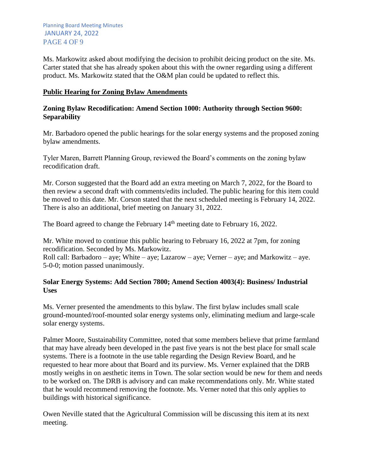Planning Board Meeting Minutes JANUARY 24, 2022 PAGE 4 OF 9

Ms. Markowitz asked about modifying the decision to prohibit deicing product on the site. Ms. Carter stated that she has already spoken about this with the owner regarding using a different product. Ms. Markowitz stated that the O&M plan could be updated to reflect this.

#### **Public Hearing for Zoning Bylaw Amendments**

#### **Zoning Bylaw Recodification: Amend Section 1000: Authority through Section 9600: Separability**

Mr. Barbadoro opened the public hearings for the solar energy systems and the proposed zoning bylaw amendments.

Tyler Maren, Barrett Planning Group, reviewed the Board's comments on the zoning bylaw recodification draft.

Mr. Corson suggested that the Board add an extra meeting on March 7, 2022, for the Board to then review a second draft with comments/edits included. The public hearing for this item could be moved to this date. Mr. Corson stated that the next scheduled meeting is February 14, 2022. There is also an additional, brief meeting on January 31, 2022.

The Board agreed to change the February 14<sup>th</sup> meeting date to February 16, 2022.

Mr. White moved to continue this public hearing to February 16, 2022 at 7pm, for zoning recodification. Seconded by Ms. Markowitz.

Roll call: Barbadoro – aye; White – aye; Lazarow – aye; Verner – aye; and Markowitz – aye. 5-0-0; motion passed unanimously.

#### **Solar Energy Systems: Add Section 7800; Amend Section 4003(4): Business/ Industrial Uses**

Ms. Verner presented the amendments to this bylaw. The first bylaw includes small scale ground-mounted/roof-mounted solar energy systems only, eliminating medium and large-scale solar energy systems.

Palmer Moore, Sustainability Committee, noted that some members believe that prime farmland that may have already been developed in the past five years is not the best place for small scale systems. There is a footnote in the use table regarding the Design Review Board, and he requested to hear more about that Board and its purview. Ms. Verner explained that the DRB mostly weighs in on aesthetic items in Town. The solar section would be new for them and needs to be worked on. The DRB is advisory and can make recommendations only. Mr. White stated that he would recommend removing the footnote. Ms. Verner noted that this only applies to buildings with historical significance.

Owen Neville stated that the Agricultural Commission will be discussing this item at its next meeting.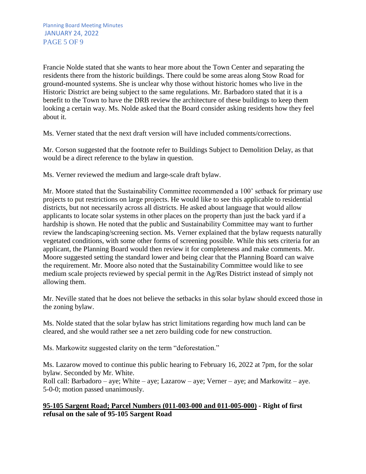Francie Nolde stated that she wants to hear more about the Town Center and separating the residents there from the historic buildings. There could be some areas along Stow Road for ground-mounted systems. She is unclear why those without historic homes who live in the Historic District are being subject to the same regulations. Mr. Barbadoro stated that it is a benefit to the Town to have the DRB review the architecture of these buildings to keep them looking a certain way. Ms. Nolde asked that the Board consider asking residents how they feel about it.

Ms. Verner stated that the next draft version will have included comments/corrections.

Mr. Corson suggested that the footnote refer to Buildings Subject to Demolition Delay, as that would be a direct reference to the bylaw in question.

Ms. Verner reviewed the medium and large-scale draft bylaw.

Mr. Moore stated that the Sustainability Committee recommended a 100' setback for primary use projects to put restrictions on large projects. He would like to see this applicable to residential districts, but not necessarily across all districts. He asked about language that would allow applicants to locate solar systems in other places on the property than just the back yard if a hardship is shown. He noted that the public and Sustainability Committee may want to further review the landscaping/screening section. Ms. Verner explained that the bylaw requests naturally vegetated conditions, with some other forms of screening possible. While this sets criteria for an applicant, the Planning Board would then review it for completeness and make comments. Mr. Moore suggested setting the standard lower and being clear that the Planning Board can waive the requirement. Mr. Moore also noted that the Sustainability Committee would like to see medium scale projects reviewed by special permit in the Ag/Res District instead of simply not allowing them.

Mr. Neville stated that he does not believe the setbacks in this solar bylaw should exceed those in the zoning bylaw.

Ms. Nolde stated that the solar bylaw has strict limitations regarding how much land can be cleared, and she would rather see a net zero building code for new construction.

Ms. Markowitz suggested clarity on the term "deforestation."

Ms. Lazarow moved to continue this public hearing to February 16, 2022 at 7pm, for the solar bylaw. Seconded by Mr. White.

Roll call: Barbadoro – aye; White – aye; Lazarow – aye; Verner – aye; and Markowitz – aye. 5-0-0; motion passed unanimously.

## **95-105 Sargent Road; Parcel Numbers (011-003-000 and 011-005-000) - Right of first refusal on the sale of 95-105 Sargent Road**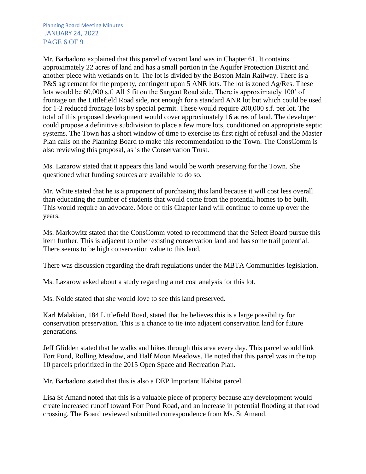Planning Board Meeting Minutes JANUARY 24, 2022 PAGE 6 OF 9

Mr. Barbadoro explained that this parcel of vacant land was in Chapter 61. It contains approximately 22 acres of land and has a small portion in the Aquifer Protection District and another piece with wetlands on it. The lot is divided by the Boston Main Railway. There is a P&S agreement for the property, contingent upon 5 ANR lots. The lot is zoned Ag/Res. These lots would be 60,000 s.f. All 5 fit on the Sargent Road side. There is approximately 100' of frontage on the Littlefield Road side, not enough for a standard ANR lot but which could be used for 1-2 reduced frontage lots by special permit. These would require 200,000 s.f. per lot. The total of this proposed development would cover approximately 16 acres of land. The developer could propose a definitive subdivision to place a few more lots, conditioned on appropriate septic systems. The Town has a short window of time to exercise its first right of refusal and the Master Plan calls on the Planning Board to make this recommendation to the Town. The ConsComm is also reviewing this proposal, as is the Conservation Trust.

Ms. Lazarow stated that it appears this land would be worth preserving for the Town. She questioned what funding sources are available to do so.

Mr. White stated that he is a proponent of purchasing this land because it will cost less overall than educating the number of students that would come from the potential homes to be built. This would require an advocate. More of this Chapter land will continue to come up over the years.

Ms. Markowitz stated that the ConsComm voted to recommend that the Select Board pursue this item further. This is adjacent to other existing conservation land and has some trail potential. There seems to be high conservation value to this land.

There was discussion regarding the draft regulations under the MBTA Communities legislation.

Ms. Lazarow asked about a study regarding a net cost analysis for this lot.

Ms. Nolde stated that she would love to see this land preserved.

Karl Malakian, 184 Littlefield Road, stated that he believes this is a large possibility for conservation preservation. This is a chance to tie into adjacent conservation land for future generations.

Jeff Glidden stated that he walks and hikes through this area every day. This parcel would link Fort Pond, Rolling Meadow, and Half Moon Meadows. He noted that this parcel was in the top 10 parcels prioritized in the 2015 Open Space and Recreation Plan.

Mr. Barbadoro stated that this is also a DEP Important Habitat parcel.

Lisa St Amand noted that this is a valuable piece of property because any development would create increased runoff toward Fort Pond Road, and an increase in potential flooding at that road crossing. The Board reviewed submitted correspondence from Ms. St Amand.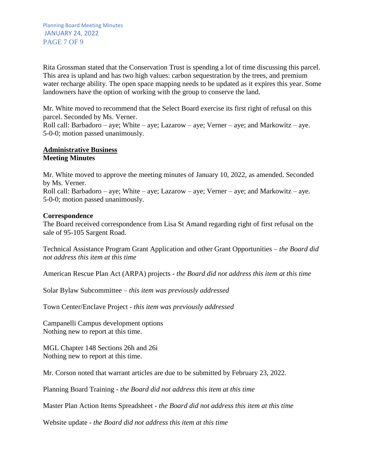Rita Grossman stated that the Conservation Trust is spending a lot of time discussing this parcel. This area is upland and has two high values: carbon sequestration by the trees, and premium water recharge ability. The open space mapping needs to be updated as it expires this year. Some landowners have the option of working with the group to conserve the land.

Mr. White moved to recommend that the Select Board exercise its first right of refusal on this parcel. Seconded by Ms. Verner.

Roll call: Barbadoro – aye; White – aye; Lazarow – aye; Verner – aye; and Markowitz – aye. 5-0-0; motion passed unanimously.

#### **Administrative Business Meeting Minutes**

Mr. White moved to approve the meeting minutes of January 10, 2022, as amended. Seconded by Ms. Verner. Roll call: Barbadoro – aye; White – aye; Lazarow – aye; Verner – aye; and Markowitz – aye. 5-0-0; motion passed unanimously.

## **Correspondence**

The Board received correspondence from Lisa St Amand regarding right of first refusal on the sale of 95-105 Sargent Road.

Technical Assistance Program Grant Application and other Grant Opportunities – *the Board did not address this item at this time* 

American Rescue Plan Act (ARPA) projects *- the Board did not address this item at this time*

Solar Bylaw Subcommittee – *this item was previously addressed*

Town Center/Enclave Project *- this item was previously addressed*

Campanelli Campus development options Nothing new to report at this time.

MGL Chapter 148 Sections 26h and 26i Nothing new to report at this time.

Mr. Corson noted that warrant articles are due to be submitted by February 23, 2022.

Planning Board Training - *the Board did not address this item at this time*

Master Plan Action Items Spreadsheet - *the Board did not address this item at this time*

Website update *- the Board did not address this item at this time*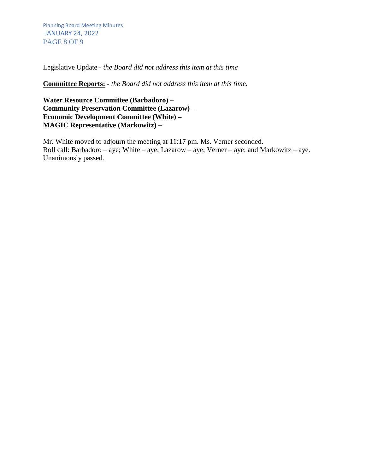Planning Board Meeting Minutes JANUARY 24, 2022 PAGE 8 OF 9

Legislative Update - *the Board did not address this item at this time*

**Committee Reports: -** *the Board did not address this item at this time.*

**Water Resource Committee (Barbadoro) – Community Preservation Committee (Lazarow) – Economic Development Committee (White) – MAGIC Representative (Markowitz) –**

Mr. White moved to adjourn the meeting at 11:17 pm. Ms. Verner seconded. Roll call: Barbadoro – aye; White – aye; Lazarow – aye; Verner – aye; and Markowitz – aye. Unanimously passed.